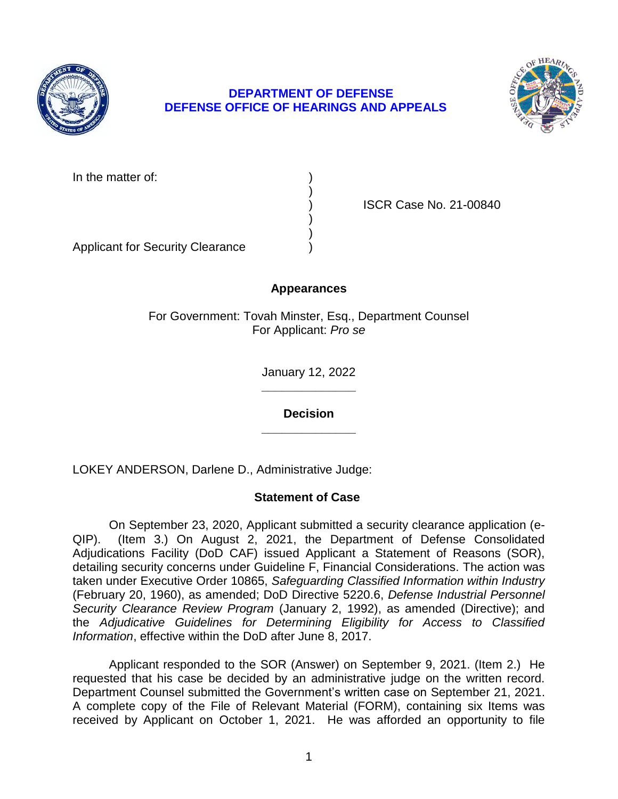

# **DEPARTMENT OF DEFENSE DEFENSE OFFICE OF HEARINGS AND APPEALS**



In the matter of:

) ISCR Case No. 21-00840

Applicant for Security Clearance )

# **Appearances**

)

) )

For Government: Tovah Minster, Esq., Department Counsel For Applicant: *Pro se* 

> **\_\_\_\_\_\_\_\_\_\_\_\_\_\_**  January 12, 2022

**\_\_\_\_\_\_\_\_\_\_\_\_\_\_ Decision** 

LOKEY ANDERSON, Darlene D., Administrative Judge:

# **Statement of Case**

 On September 23, 2020, Applicant submitted a security clearance application (e-QIP). Adjudications Facility (DoD CAF) issued Applicant a Statement of Reasons (SOR), detailing security concerns under Guideline F, Financial Considerations. The action was taken under Executive Order 10865, *Safeguarding Classified Information within Industry*  the *Adjudicative Guidelines for Determining Eligibility for Access to Classified*  (Item 3.) On August 2, 2021, the Department of Defense Consolidated (February 20, 1960), as amended; DoD Directive 5220.6, *Defense Industrial Personnel Security Clearance Review Program* (January 2, 1992), as amended (Directive); and *Information*, effective within the DoD after June 8, 2017.

 Applicant responded to the SOR (Answer) on September 9, 2021. (Item 2.) He requested that his case be decided by an administrative judge on the written record. Department Counsel submitted the Government's written case on September 21, 2021. A complete copy of the File of Relevant Material (FORM), containing six Items was received by Applicant on October 1, 2021. He was afforded an opportunity to file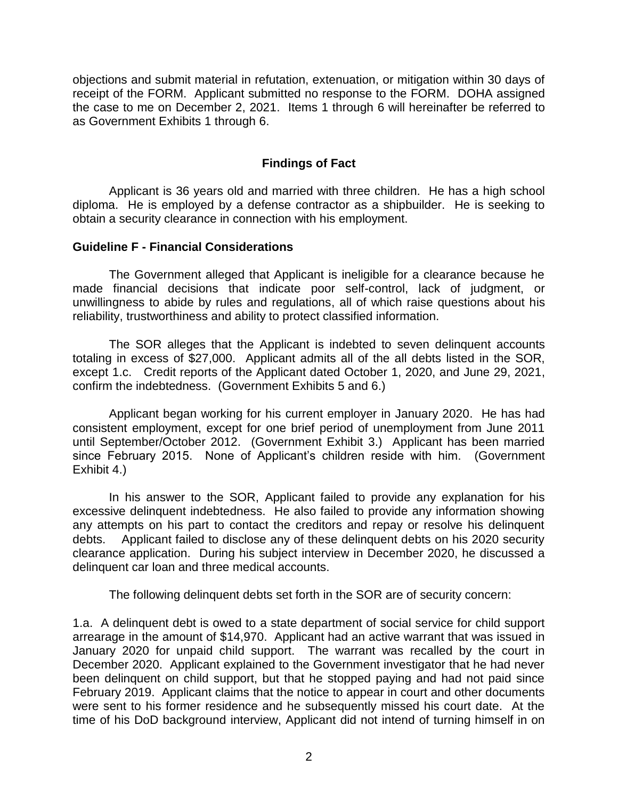objections and submit material in refutation, extenuation, or mitigation within 30 days of receipt of the FORM. Applicant submitted no response to the FORM. DOHA assigned the case to me on December 2, 2021. Items 1 through 6 will hereinafter be referred to as Government Exhibits 1 through 6.

### **Findings of Fact**

 Applicant is 36 years old and married with three children. He has a high school diploma. He is employed by a defense contractor as a shipbuilder. He is seeking to obtain a security clearance in connection with his employment.

### **Guideline F - Financial Considerations**

 The Government alleged that Applicant is ineligible for a clearance because he made financial decisions that indicate poor self-control, lack of judgment, or unwillingness to abide by rules and regulations, all of which raise questions about his reliability, trustworthiness and ability to protect classified information.

 The SOR alleges that the Applicant is indebted to seven delinquent accounts totaling in excess of \$27,000. Applicant admits all of the all debts listed in the SOR, except 1.c. Credit reports of the Applicant dated October 1, 2020, and June 29, 2021, confirm the indebtedness. (Government Exhibits 5 and 6.)

 Applicant began working for his current employer in January 2020. He has had consistent employment, except for one brief period of unemployment from June 2011 until September/October 2012. (Government Exhibit 3.) Applicant has been married since February 2015. None of Applicant's children reside with him. (Government Exhibit 4.)

 Exhibit 4.) In his answer to the SOR, Applicant failed to provide any explanation for his excessive delinquent indebtedness. He also failed to provide any information showing any attempts on his part to contact the creditors and repay or resolve his delinquent clearance application. During his subject interview in December 2020, he discussed a delinquent car loan and three medical accounts. debts. Applicant failed to disclose any of these delinquent debts on his 2020 security

The following delinquent debts set forth in the SOR are of security concern:

1.a. A delinquent debt is owed to a state department of social service for child support arrearage in the amount of \$14,970. Applicant had an active warrant that was issued in January 2020 for unpaid child support. The warrant was recalled by the court in December 2020. Applicant explained to the Government investigator that he had never been delinquent on child support, but that he stopped paying and had not paid since February 2019. Applicant claims that the notice to appear in court and other documents were sent to his former residence and he subsequently missed his court date. At the time of his DoD background interview, Applicant did not intend of turning himself in on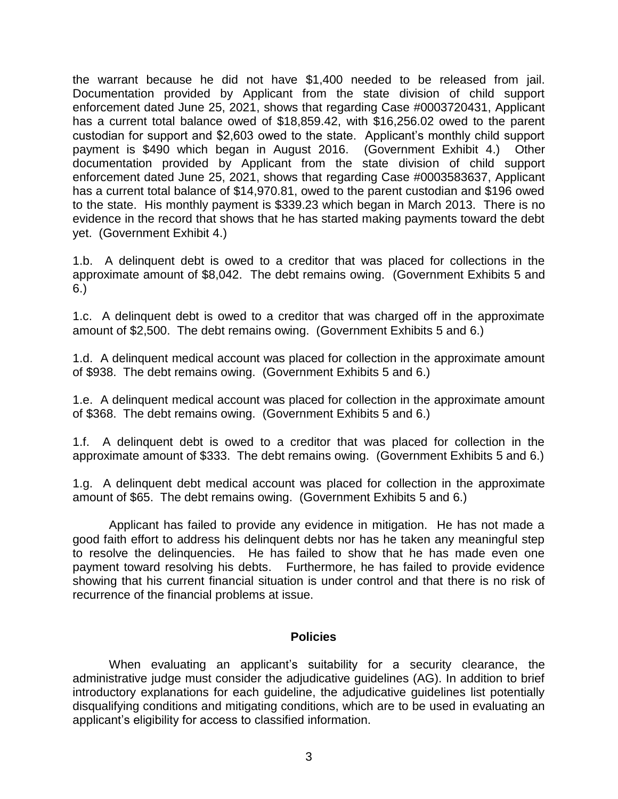the warrant because he did not have \$1,400 needed to be released from jail. Documentation provided by Applicant from the state division of child support enforcement dated June 25, 2021, shows that regarding Case #0003720431, Applicant has a current total balance owed of \$18,859.42, with \$16,256.02 owed to the parent custodian for support and \$2,603 owed to the state. Applicant's monthly child support payment is \$490 which began in August 2016. (Government Exhibit 4.) Other documentation provided by Applicant from the state division of child support enforcement dated June 25, 2021, shows that regarding Case #0003583637, Applicant has a current total balance of \$14,970.81, owed to the parent custodian and \$196 owed to the state. His monthly payment is \$339.23 which began in March 2013. There is no evidence in the record that shows that he has started making payments toward the debt yet. (Government Exhibit 4.)

 1.b. A delinquent debt is owed to a creditor that was placed for collections in the approximate amount of \$8,042. The debt remains owing. (Government Exhibits 5 and  $6.)$ 

6.)<br>1.c. A delinquent debt is owed to a creditor that was charged off in the approximate amount of \$2,500. The debt remains owing. (Government Exhibits 5 and 6.)

 1.d. A delinquent medical account was placed for collection in the approximate amount of \$938. The debt remains owing. (Government Exhibits 5 and 6.)

 1.e. A delinquent medical account was placed for collection in the approximate amount of \$368. The debt remains owing. (Government Exhibits 5 and 6.)

 1.f. A delinquent debt is owed to a creditor that was placed for collection in the approximate amount of \$333. The debt remains owing. (Government Exhibits 5 and 6.)

 1.g. A delinquent debt medical account was placed for collection in the approximate amount of \$65. The debt remains owing. (Government Exhibits 5 and 6.)

 Applicant has failed to provide any evidence in mitigation. He has not made a good faith effort to address his delinquent debts nor has he taken any meaningful step to resolve the delinquencies. He has failed to show that he has made even one payment toward resolving his debts. Furthermore, he has failed to provide evidence showing that his current financial situation is under control and that there is no risk of recurrence of the financial problems at issue.

### **Policies**

 When evaluating an applicant's suitability for a security clearance, the administrative judge must consider the adjudicative guidelines (AG). In addition to brief introductory explanations for each guideline, the adjudicative guidelines list potentially disqualifying conditions and mitigating conditions, which are to be used in evaluating an applicant's eligibility for access to classified information.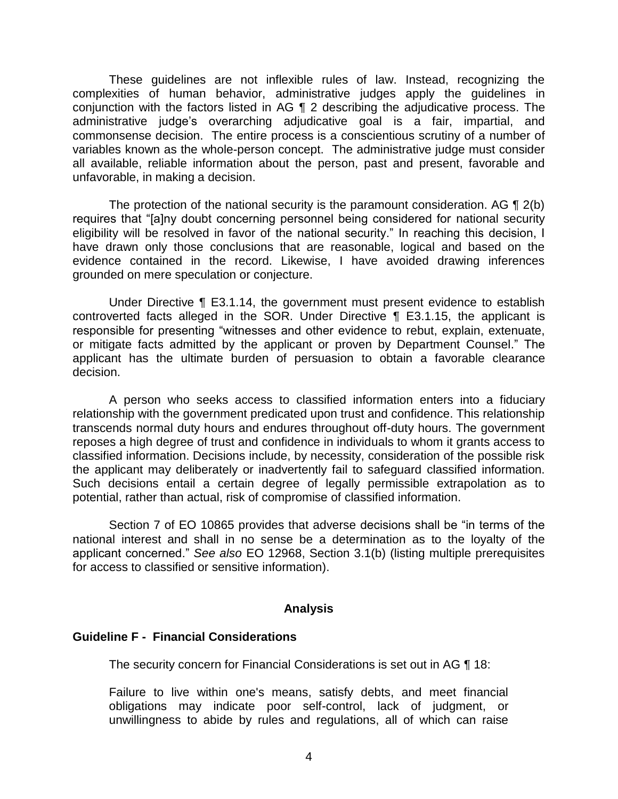These guidelines are not inflexible rules of law. Instead, recognizing the complexities of human behavior, administrative judges apply the guidelines in conjunction with the factors listed in AG ¶ 2 describing the adjudicative process. The commonsense decision. The entire process is a conscientious scrutiny of a number of variables known as the whole-person concept. The administrative judge must consider all available, reliable information about the person, past and present, favorable and administrative judge's overarching adjudicative goal is a fair, impartial, and unfavorable, in making a decision.

The protection of the national security is the paramount consideration. AG  $\P$  2(b) eligibility will be resolved in favor of the national security." In reaching this decision, I have drawn only those conclusions that are reasonable, logical and based on the evidence contained in the record. Likewise, I have avoided drawing inferences requires that "[a]ny doubt concerning personnel being considered for national security grounded on mere speculation or conjecture.

 Under Directive ¶ E3.1.14, the government must present evidence to establish controverted facts alleged in the SOR. Under Directive ¶ E3.1.15, the applicant is responsible for presenting "witnesses and other evidence to rebut, explain, extenuate, or mitigate facts admitted by the applicant or proven by Department Counsel." The applicant has the ultimate burden of persuasion to obtain a favorable clearance decision.

 A person who seeks access to classified information enters into a fiduciary transcends normal duty hours and endures throughout off-duty hours. The government reposes a high degree of trust and confidence in individuals to whom it grants access to classified information. Decisions include, by necessity, consideration of the possible risk the applicant may deliberately or inadvertently fail to safeguard classified information. Such decisions entail a certain degree of legally permissible extrapolation as to relationship with the government predicated upon trust and confidence. This relationship potential, rather than actual, risk of compromise of classified information.

 Section 7 of EO 10865 provides that adverse decisions shall be "in terms of the national interest and shall in no sense be a determination as to the loyalty of the applicant concerned." *See also* EO 12968, Section 3.1(b) (listing multiple prerequisites for access to classified or sensitive information).

#### **Analysis**

### **Guideline F - Financial Considerations**

The security concern for Financial Considerations is set out in AG ¶ 18:

 Failure to live within one's means, satisfy debts, and meet financial obligations may indicate poor self-control, lack of judgment, or unwillingness to abide by rules and regulations, all of which can raise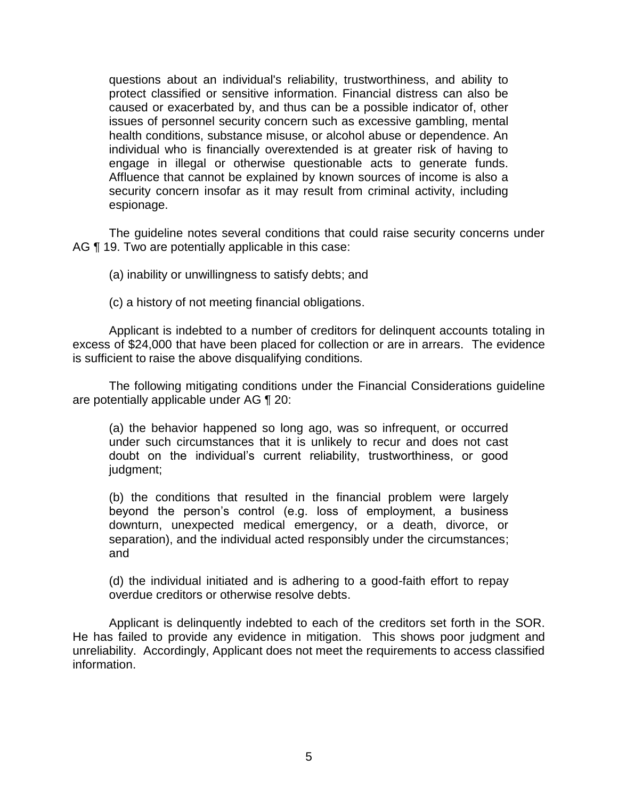questions about an individual's reliability, trustworthiness, and ability to protect classified or sensitive information. Financial distress can also be caused or exacerbated by, and thus can be a possible indicator of, other issues of personnel security concern such as excessive gambling, mental individual who is financially overextended is at greater risk of having to engage in illegal or otherwise questionable acts to generate funds. Affluence that cannot be explained by known sources of income is also a health conditions, substance misuse, or alcohol abuse or dependence. An security concern insofar as it may result from criminal activity, including espionage.

 The guideline notes several conditions that could raise security concerns under AG ¶ 19. Two are potentially applicable in this case:

(a) inability or unwillingness to satisfy debts; and

(c) a history of not meeting financial obligations.

 Applicant is indebted to a number of creditors for delinquent accounts totaling in excess of \$24,000 that have been placed for collection or are in arrears. The evidence is sufficient to raise the above disqualifying conditions.

 The following mitigating conditions under the Financial Considerations guideline are potentially applicable under AG ¶ 20:

(a) the behavior happened so long ago, was so infrequent, or occurred under such circumstances that it is unlikely to recur and does not cast doubt on the individual's current reliability, trustworthiness, or good judgment;

(b) the conditions that resulted in the financial problem were largely beyond the person's control (e.g. loss of employment, a business downturn, unexpected medical emergency, or a death, divorce, or separation), and the individual acted responsibly under the circumstances; and

 (d) the individual initiated and is adhering to a good-faith effort to repay overdue creditors or otherwise resolve debts.

 Applicant is delinquently indebted to each of the creditors set forth in the SOR. He has failed to provide any evidence in mitigation. This shows poor judgment and unreliability. Accordingly, Applicant does not meet the requirements to access classified information. information. 5